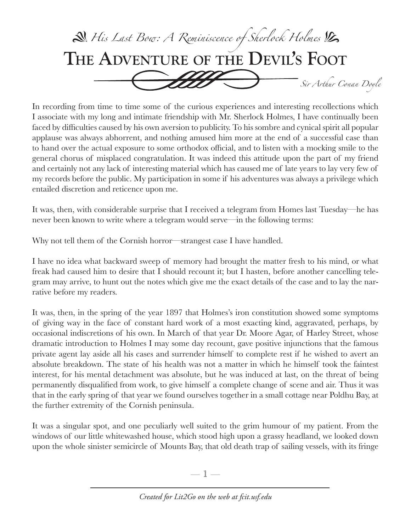

In recording from time to time some of the curious experiences and interesting recollections which I associate with my long and intimate friendship with Mr. Sherlock Holmes, I have continually been faced by difficulties caused by his own aversion to publicity. To his sombre and cynical spirit all popular applause was always abhorrent, and nothing amused him more at the end of a successful case than to hand over the actual exposure to some orthodox official, and to listen with a mocking smile to the general chorus of misplaced congratulation. It was indeed this attitude upon the part of my friend and certainly not any lack of interesting material which has caused me of late years to lay very few of my records before the public. My participation in some if his adventures was always a privilege which entailed discretion and reticence upon me.

It was, then, with considerable surprise that I received a telegram from Homes last Tuesday—he has never been known to write where a telegram would serve—in the following terms:

Why not tell them of the Cornish horror—strangest case I have handled.

I have no idea what backward sweep of memory had brought the matter fresh to his mind, or what freak had caused him to desire that I should recount it; but I hasten, before another cancelling telegram may arrive, to hunt out the notes which give me the exact details of the case and to lay the narrative before my readers.

It was, then, in the spring of the year 1897 that Holmes's iron constitution showed some symptoms of giving way in the face of constant hard work of a most exacting kind, aggravated, perhaps, by occasional indiscretions of his own. In March of that year Dr. Moore Agar, of Harley Street, whose dramatic introduction to Holmes I may some day recount, gave positive injunctions that the famous private agent lay aside all his cases and surrender himself to complete rest if he wished to avert an absolute breakdown. The state of his health was not a matter in which he himself took the faintest interest, for his mental detachment was absolute, but he was induced at last, on the threat of being permanently disqualified from work, to give himself a complete change of scene and air. Thus it was that in the early spring of that year we found ourselves together in a small cottage near Poldhu Bay, at the further extremity of the Cornish peninsula.

It was a singular spot, and one peculiarly well suited to the grim humour of my patient. From the windows of our little whitewashed house, which stood high upon a grassy headland, we looked down upon the whole sinister semicircle of Mounts Bay, that old death trap of sailing vessels, with its fringe

—  $\mathbb{1}$  —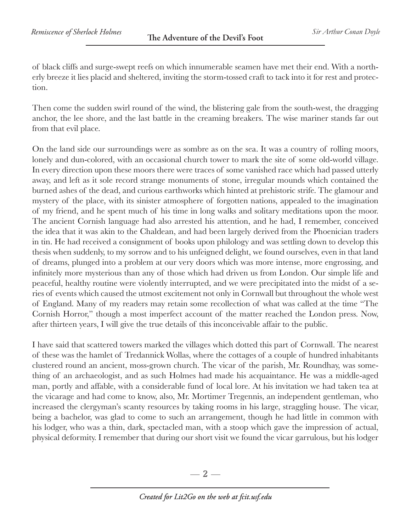of black cliffs and surge-swept reefs on which innumerable seamen have met their end. With a northerly breeze it lies placid and sheltered, inviting the storm-tossed craft to tack into it for rest and protection.

Then come the sudden swirl round of the wind, the blistering gale from the south-west, the dragging anchor, the lee shore, and the last battle in the creaming breakers. The wise mariner stands far out from that evil place.

On the land side our surroundings were as sombre as on the sea. It was a country of rolling moors, lonely and dun-colored, with an occasional church tower to mark the site of some old-world village. In every direction upon these moors there were traces of some vanished race which had passed utterly away, and left as it sole record strange monuments of stone, irregular mounds which contained the burned ashes of the dead, and curious earthworks which hinted at prehistoric strife. The glamour and mystery of the place, with its sinister atmosphere of forgotten nations, appealed to the imagination of my friend, and he spent much of his time in long walks and solitary meditations upon the moor. The ancient Cornish language had also arrested his attention, and he had, I remember, conceived the idea that it was akin to the Chaldean, and had been largely derived from the Phoenician traders in tin. He had received a consignment of books upon philology and was settling down to develop this thesis when suddenly, to my sorrow and to his unfeigned delight, we found ourselves, even in that land of dreams, plunged into a problem at our very doors which was more intense, more engrossing, and infinitely more mysterious than any of those which had driven us from London. Our simple life and peaceful, healthy routine were violently interrupted, and we were precipitated into the midst of a series of events which caused the utmost excitement not only in Cornwall but throughout the whole west of England. Many of my readers may retain some recollection of what was called at the time "The Cornish Horror," though a most imperfect account of the matter reached the London press. Now, after thirteen years, I will give the true details of this inconceivable affair to the public.

I have said that scattered towers marked the villages which dotted this part of Cornwall. The nearest of these was the hamlet of Tredannick Wollas, where the cottages of a couple of hundred inhabitants clustered round an ancient, moss-grown church. The vicar of the parish, Mr. Roundhay, was something of an archaeologist, and as such Holmes had made his acquaintance. He was a middle-aged man, portly and affable, with a considerable fund of local lore. At his invitation we had taken tea at the vicarage and had come to know, also, Mr. Mortimer Tregennis, an independent gentleman, who increased the clergyman's scanty resources by taking rooms in his large, straggling house. The vicar, being a bachelor, was glad to come to such an arrangement, though he had little in common with his lodger, who was a thin, dark, spectacled man, with a stoop which gave the impression of actual, physical deformity. I remember that during our short visit we found the vicar garrulous, but his lodger

 $-2-$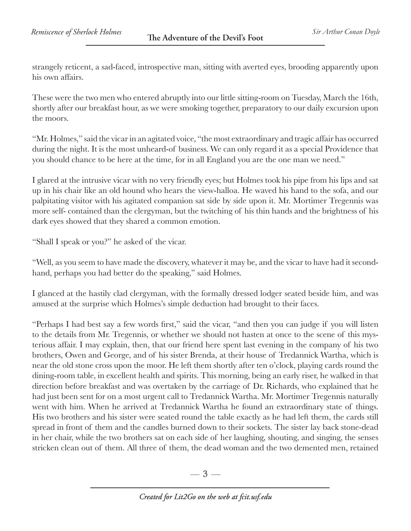strangely reticent, a sad-faced, introspective man, sitting with averted eyes, brooding apparently upon his own affairs.

These were the two men who entered abruptly into our little sitting-room on Tuesday, March the 16th, shortly after our breakfast hour, as we were smoking together, preparatory to our daily excursion upon the moors.

"Mr. Holmes," said the vicar in an agitated voice, "the most extraordinary and tragic affair has occurred during the night. It is the most unheard-of business. We can only regard it as a special Providence that you should chance to be here at the time, for in all England you are the one man we need."

I glared at the intrusive vicar with no very friendly eyes; but Holmes took his pipe from his lips and sat up in his chair like an old hound who hears the view-halloa. He waved his hand to the sofa, and our palpitating visitor with his agitated companion sat side by side upon it. Mr. Mortimer Tregennis was more self- contained than the clergyman, but the twitching of his thin hands and the brightness of his dark eyes showed that they shared a common emotion.

"Shall I speak or you?" he asked of the vicar.

"Well, as you seem to have made the discovery, whatever it may be, and the vicar to have had it secondhand, perhaps you had better do the speaking," said Holmes.

I glanced at the hastily clad clergyman, with the formally dressed lodger seated beside him, and was amused at the surprise which Holmes's simple deduction had brought to their faces.

"Perhaps I had best say a few words first," said the vicar, "and then you can judge if you will listen to the details from Mr. Tregennis, or whether we should not hasten at once to the scene of this mysterious affair. I may explain, then, that our friend here spent last evening in the company of his two brothers, Owen and George, and of his sister Brenda, at their house of Tredannick Wartha, which is near the old stone cross upon the moor. He left them shortly after ten o'clock, playing cards round the dining-room table, in excellent health and spirits. This morning, being an early riser, he walked in that direction before breakfast and was overtaken by the carriage of Dr. Richards, who explained that he had just been sent for on a most urgent call to Tredannick Wartha. Mr. Mortimer Tregennis naturally went with him. When he arrived at Tredannick Wartha he found an extraordinary state of things. His two brothers and his sister were seated round the table exactly as he had left them, the cards still spread in front of them and the candles burned down to their sockets. The sister lay back stone-dead in her chair, while the two brothers sat on each side of her laughing, shouting, and singing, the senses stricken clean out of them. All three of them, the dead woman and the two demented men, retained

 $-3-$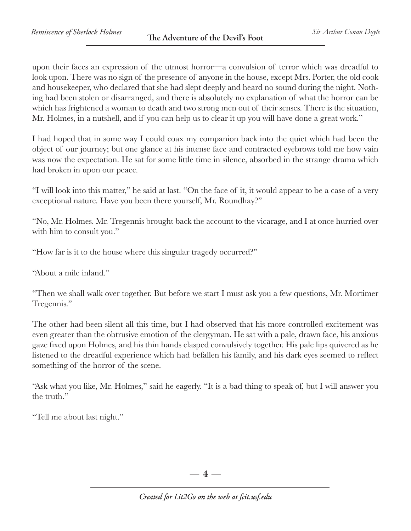upon their faces an expression of the utmost horror—a convulsion of terror which was dreadful to look upon. There was no sign of the presence of anyone in the house, except Mrs. Porter, the old cook and housekeeper, who declared that she had slept deeply and heard no sound during the night. Nothing had been stolen or disarranged, and there is absolutely no explanation of what the horror can be which has frightened a woman to death and two strong men out of their senses. There is the situation, Mr. Holmes, in a nutshell, and if you can help us to clear it up you will have done a great work."

I had hoped that in some way I could coax my companion back into the quiet which had been the object of our journey; but one glance at his intense face and contracted eyebrows told me how vain was now the expectation. He sat for some little time in silence, absorbed in the strange drama which had broken in upon our peace.

"I will look into this matter," he said at last. "On the face of it, it would appear to be a case of a very exceptional nature. Have you been there yourself, Mr. Roundhay?"

"No, Mr. Holmes. Mr. Tregennis brought back the account to the vicarage, and I at once hurried over with him to consult you."

"How far is it to the house where this singular tragedy occurred?"

"About a mile inland."

"Then we shall walk over together. But before we start I must ask you a few questions, Mr. Mortimer Tregennis."

The other had been silent all this time, but I had observed that his more controlled excitement was even greater than the obtrusive emotion of the clergyman. He sat with a pale, drawn face, his anxious gaze fixed upon Holmes, and his thin hands clasped convulsively together. His pale lips quivered as he listened to the dreadful experience which had befallen his family, and his dark eyes seemed to reflect something of the horror of the scene.

"Ask what you like, Mr. Holmes," said he eagerly. "It is a bad thing to speak of, but I will answer you the truth."

"Tell me about last night."

 $-4-$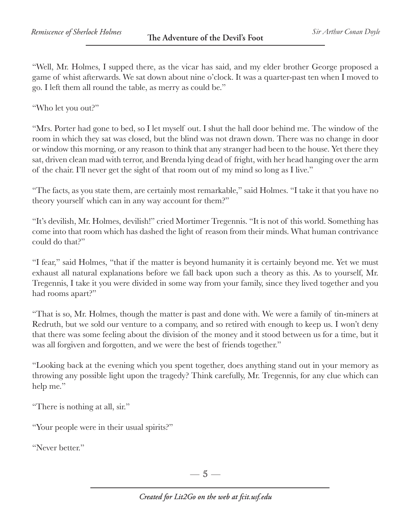"Well, Mr. Holmes, I supped there, as the vicar has said, and my elder brother George proposed a game of whist afterwards. We sat down about nine o'clock. It was a quarter-past ten when I moved to go. I left them all round the table, as merry as could be."

"Who let you out?"

"Mrs. Porter had gone to bed, so I let myself out. I shut the hall door behind me. The window of the room in which they sat was closed, but the blind was not drawn down. There was no change in door or window this morning, or any reason to think that any stranger had been to the house. Yet there they sat, driven clean mad with terror, and Brenda lying dead of fright, with her head hanging over the arm of the chair. I'll never get the sight of that room out of my mind so long as I live."

"The facts, as you state them, are certainly most remarkable," said Holmes. "I take it that you have no theory yourself which can in any way account for them?"

"It's devilish, Mr. Holmes, devilish!" cried Mortimer Tregennis. "It is not of this world. Something has come into that room which has dashed the light of reason from their minds. What human contrivance could do that?"

"I fear," said Holmes, "that if the matter is beyond humanity it is certainly beyond me. Yet we must exhaust all natural explanations before we fall back upon such a theory as this. As to yourself, Mr. Tregennis, I take it you were divided in some way from your family, since they lived together and you had rooms apart?"

"That is so, Mr. Holmes, though the matter is past and done with. We were a family of tin-miners at Redruth, but we sold our venture to a company, and so retired with enough to keep us. I won't deny that there was some feeling about the division of the money and it stood between us for a time, but it was all forgiven and forgotten, and we were the best of friends together."

"Looking back at the evening which you spent together, does anything stand out in your memory as throwing any possible light upon the tragedy? Think carefully, Mr. Tregennis, for any clue which can help me."

"There is nothing at all, sir."

"Your people were in their usual spirits?"

"Never better."

 $-5-$ 

*Created for Lit2Go on the web at fcit.usf.edu*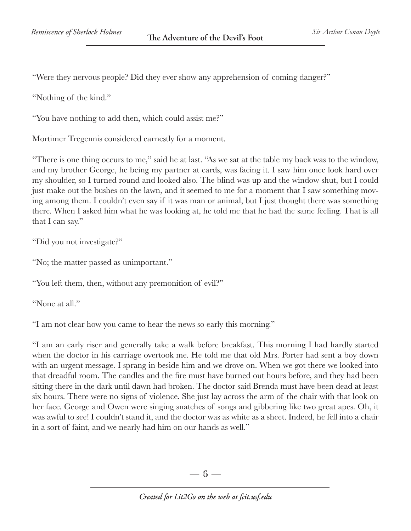"Were they nervous people? Did they ever show any apprehension of coming danger?"

"Nothing of the kind."

"You have nothing to add then, which could assist me?"

Mortimer Tregennis considered earnestly for a moment.

"There is one thing occurs to me," said he at last. "As we sat at the table my back was to the window, and my brother George, he being my partner at cards, was facing it. I saw him once look hard over my shoulder, so I turned round and looked also. The blind was up and the window shut, but I could just make out the bushes on the lawn, and it seemed to me for a moment that I saw something moving among them. I couldn't even say if it was man or animal, but I just thought there was something there. When I asked him what he was looking at, he told me that he had the same feeling. That is all that I can say."

"Did you not investigate?"

"No; the matter passed as unimportant."

"You left them, then, without any premonition of evil?"

"None at all."

"I am not clear how you came to hear the news so early this morning."

"I am an early riser and generally take a walk before breakfast. This morning I had hardly started when the doctor in his carriage overtook me. He told me that old Mrs. Porter had sent a boy down with an urgent message. I sprang in beside him and we drove on. When we got there we looked into that dreadful room. The candles and the fire must have burned out hours before, and they had been sitting there in the dark until dawn had broken. The doctor said Brenda must have been dead at least six hours. There were no signs of violence. She just lay across the arm of the chair with that look on her face. George and Owen were singing snatches of songs and gibbering like two great apes. Oh, it was awful to see! I couldn't stand it, and the doctor was as white as a sheet. Indeed, he fell into a chair in a sort of faint, and we nearly had him on our hands as well."

 $-6-$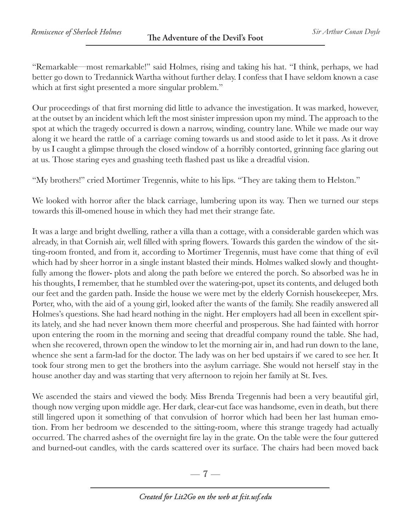"Remarkable—most remarkable!" said Holmes, rising and taking his hat. "I think, perhaps, we had better go down to Tredannick Wartha without further delay. I confess that I have seldom known a case which at first sight presented a more singular problem."

Our proceedings of that first morning did little to advance the investigation. It was marked, however, at the outset by an incident which left the most sinister impression upon my mind. The approach to the spot at which the tragedy occurred is down a narrow, winding, country lane. While we made our way along it we heard the rattle of a carriage coming towards us and stood aside to let it pass. As it drove by us I caught a glimpse through the closed window of a horribly contorted, grinning face glaring out at us. Those staring eyes and gnashing teeth flashed past us like a dreadful vision.

"My brothers!" cried Mortimer Tregennis, white to his lips. "They are taking them to Helston."

We looked with horror after the black carriage, lumbering upon its way. Then we turned our steps towards this ill-omened house in which they had met their strange fate.

It was a large and bright dwelling, rather a villa than a cottage, with a considerable garden which was already, in that Cornish air, well filled with spring flowers. Towards this garden the window of the sitting-room fronted, and from it, according to Mortimer Tregennis, must have come that thing of evil which had by sheer horror in a single instant blasted their minds. Holmes walked slowly and thoughtfully among the flower- plots and along the path before we entered the porch. So absorbed was he in his thoughts, I remember, that he stumbled over the watering-pot, upset its contents, and deluged both our feet and the garden path. Inside the house we were met by the elderly Cornish housekeeper, Mrs. Porter, who, with the aid of a young girl, looked after the wants of the family. She readily answered all Holmes's questions. She had heard nothing in the night. Her employers had all been in excellent spirits lately, and she had never known them more cheerful and prosperous. She had fainted with horror upon entering the room in the morning and seeing that dreadful company round the table. She had, when she recovered, thrown open the window to let the morning air in, and had run down to the lane, whence she sent a farm-lad for the doctor. The lady was on her bed upstairs if we cared to see her. It took four strong men to get the brothers into the asylum carriage. She would not herself stay in the house another day and was starting that very afternoon to rejoin her family at St. Ives.

We ascended the stairs and viewed the body. Miss Brenda Tregennis had been a very beautiful girl, though now verging upon middle age. Her dark, clear-cut face was handsome, even in death, but there still lingered upon it something of that convulsion of horror which had been her last human emotion. From her bedroom we descended to the sitting-room, where this strange tragedy had actually occurred. The charred ashes of the overnight fire lay in the grate. On the table were the four guttered and burned-out candles, with the cards scattered over its surface. The chairs had been moved back

 $-7-$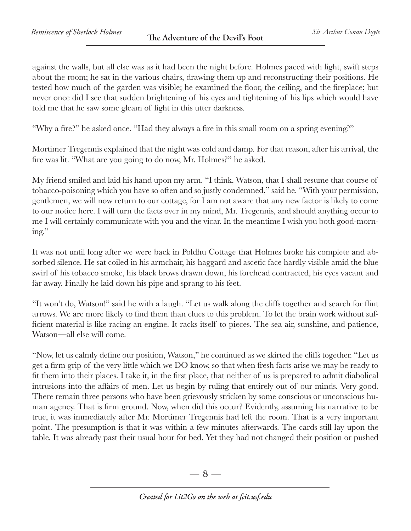against the walls, but all else was as it had been the night before. Holmes paced with light, swift steps about the room; he sat in the various chairs, drawing them up and reconstructing their positions. He tested how much of the garden was visible; he examined the floor, the ceiling, and the fireplace; but never once did I see that sudden brightening of his eyes and tightening of his lips which would have told me that he saw some gleam of light in this utter darkness.

"Why a fire?" he asked once. "Had they always a fire in this small room on a spring evening?"

Mortimer Tregennis explained that the night was cold and damp. For that reason, after his arrival, the fire was lit. "What are you going to do now, Mr. Holmes?" he asked.

My friend smiled and laid his hand upon my arm. "I think, Watson, that I shall resume that course of tobacco-poisoning which you have so often and so justly condemned," said he. "With your permission, gentlemen, we will now return to our cottage, for I am not aware that any new factor is likely to come to our notice here. I will turn the facts over in my mind, Mr. Tregennis, and should anything occur to me I will certainly communicate with you and the vicar. In the meantime I wish you both good-morning."

It was not until long after we were back in Poldhu Cottage that Holmes broke his complete and absorbed silence. He sat coiled in his armchair, his haggard and ascetic face hardly visible amid the blue swirl of his tobacco smoke, his black brows drawn down, his forehead contracted, his eyes vacant and far away. Finally he laid down his pipe and sprang to his feet.

"It won't do, Watson!" said he with a laugh. "Let us walk along the cliffs together and search for flint arrows. We are more likely to find them than clues to this problem. To let the brain work without sufficient material is like racing an engine. It racks itself to pieces. The sea air, sunshine, and patience, Watson—all else will come.

"Now, let us calmly define our position, Watson," he continued as we skirted the cliffs together. "Let us get a firm grip of the very little which we DO know, so that when fresh facts arise we may be ready to fit them into their places. I take it, in the first place, that neither of us is prepared to admit diabolical intrusions into the affairs of men. Let us begin by ruling that entirely out of our minds. Very good. There remain three persons who have been grievously stricken by some conscious or unconscious human agency. That is firm ground. Now, when did this occur? Evidently, assuming his narrative to be true, it was immediately after Mr. Mortimer Tregennis had left the room. That is a very important point. The presumption is that it was within a few minutes afterwards. The cards still lay upon the table. It was already past their usual hour for bed. Yet they had not changed their position or pushed

 $-8-$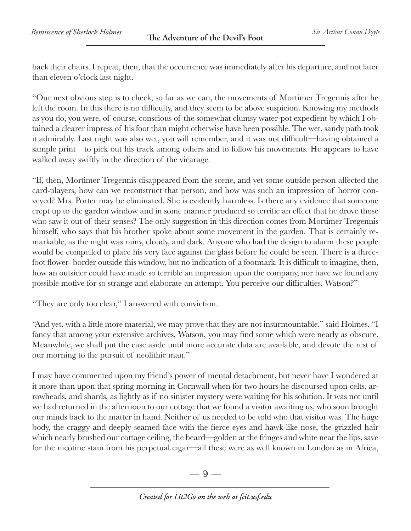back their chairs. I repeat, then, that the occurrence was immediately after his departure, and not later than eleven o'clock last night.

"Our next obvious step is to check, so far as we can, the movements of Mortimer Tregennis after he left the room. In this there is no difficulty, and they seem to be above suspicion. Knowing my methods as you do, you were, of course, conscious of the somewhat clumsy water-pot expedient by which I obtained a clearer impress of his foot than might otherwise have been possible. The wet, sandy path took it admirably. Last night was also wet, you will remember, and it was not difficult—having obtained a sample print—to pick out his track among others and to follow his movements. He appears to have walked away swiftly in the direction of the vicarage.

"If, then, Mortimer Tregennis disappeared from the scene, and yet some outside person affected the card-players, how can we reconstruct that person, and how was such an impression of horror conveyed? Mrs. Porter may be eliminated. She is evidently harmless. Is there any evidence that someone crept up to the garden window and in some manner produced so terrific an effect that he drove those who saw it out of their senses? The only suggestion in this direction comes from Mortimer Tregennis himself, who says that his brother spoke about some movement in the garden. That is certainly remarkable, as the night was rainy, cloudy, and dark. Anyone who had the design to alarm these people would be compelled to place his very face against the glass before he could be seen. There is a threefoot flower- border outside this window, but no indication of a footmark. It is difficult to imagine, then, how an outsider could have made so terrible an impression upon the company, nor have we found any possible motive for so strange and elaborate an attempt. You perceive our difficulties, Watson?"

"They are only too clear," I answered with conviction.

"And yet, with a little more material, we may prove that they are not insurmountable," said Holmes. "I fancy that among your extensive archives, Watson, you may find some which were nearly as obscure. Meanwhile, we shall put the case aside until more accurate data are available, and devote the rest of our morning to the pursuit of neolithic man."

I may have commented upon my friend's power of mental detachment, but never have I wondered at it more than upon that spring morning in Cornwall when for two hours he discoursed upon celts, arrowheads, and shards, as lightly as if no sinister mystery were waiting for his solution. It was not until we had returned in the afternoon to our cottage that we found a visitor awaiting us, who soon brought our minds back to the matter in hand. Neither of us needed to be told who that visitor was. The huge body, the craggy and deeply seamed face with the fierce eyes and hawk-like nose, the grizzled hair which nearly brushed our cottage ceiling, the beard—golden at the fringes and white near the lips, save for the nicotine stain from his perpetual cigar—all these were as well known in London as in Africa,

 $\Box$  9 —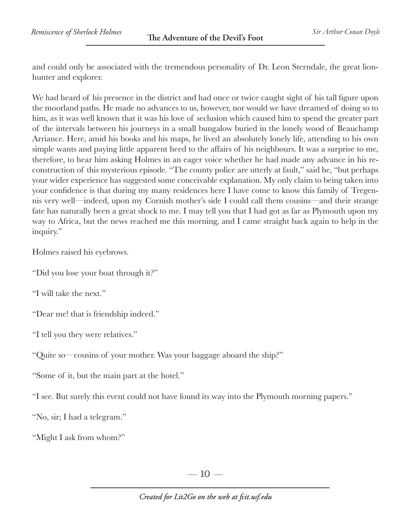and could only be associated with the tremendous personality of Dr. Leon Sterndale, the great lionhunter and explorer.

We had heard of his presence in the district and had once or twice caught sight of his tall figure upon the moorland paths. He made no advances to us, however, nor would we have dreamed of doing so to him, as it was well known that it was his love of seclusion which caused him to spend the greater part of the intervals between his journeys in a small bungalow buried in the lonely wood of Beauchamp Arriance. Here, amid his books and his maps, he lived an absolutely lonely life, attending to his own simple wants and paying little apparent heed to the affairs of his neighbours. It was a surprise to me, therefore, to hear him asking Holmes in an eager voice whether he had made any advance in his reconstruction of this mysterious episode. "The county police are utterly at fault," said he, "but perhaps your wider experience has suggested some conceivable explanation. My only claim to being taken into your confidence is that during my many residences here I have come to know this family of Tregennis very well—indeed, upon my Cornish mother's side I could call them cousins—and their strange fate has naturally been a great shock to me. I may tell you that I had got as far as Plymouth upon my way to Africa, but the news reached me this morning, and I came straight back again to help in the inquiry."

Holmes raised his eyebrows.

"Did you lose your boat through it?"

"I will take the next."

"Dear me! that is friendship indeed."

"I tell you they were relatives."

"Quite so—cousins of your mother. Was your baggage aboard the ship?"

"Some of it, but the main part at the hotel."

"I see. But surely this event could not have found its way into the Plymouth morning papers."

"No, sir; I had a telegram."

"Might I ask from whom?"

 $-10-$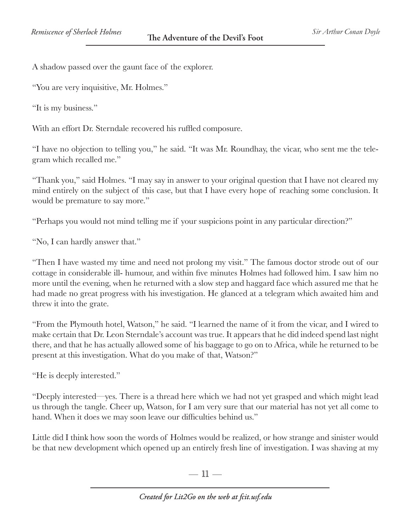A shadow passed over the gaunt face of the explorer.

"You are very inquisitive, Mr. Holmes."

"It is my business."

With an effort Dr. Sterndale recovered his ruffled composure.

"I have no objection to telling you," he said. "It was Mr. Roundhay, the vicar, who sent me the telegram which recalled me."

"Thank you," said Holmes. "I may say in answer to your original question that I have not cleared my mind entirely on the subject of this case, but that I have every hope of reaching some conclusion. It would be premature to say more."

"Perhaps you would not mind telling me if your suspicions point in any particular direction?"

"No, I can hardly answer that."

"Then I have wasted my time and need not prolong my visit." The famous doctor strode out of our cottage in considerable ill- humour, and within five minutes Holmes had followed him. I saw him no more until the evening, when he returned with a slow step and haggard face which assured me that he had made no great progress with his investigation. He glanced at a telegram which awaited him and threw it into the grate.

"From the Plymouth hotel, Watson," he said. "I learned the name of it from the vicar, and I wired to make certain that Dr. Leon Sterndale's account was true. It appears that he did indeed spend last night there, and that he has actually allowed some of his baggage to go on to Africa, while he returned to be present at this investigation. What do you make of that, Watson?"

"He is deeply interested."

"Deeply interested—yes. There is a thread here which we had not yet grasped and which might lead us through the tangle. Cheer up, Watson, for I am very sure that our material has not yet all come to hand. When it does we may soon leave our difficulties behind us."

Little did I think how soon the words of Holmes would be realized, or how strange and sinister would be that new development which opened up an entirely fresh line of investigation. I was shaving at my

—  $\mathbb{1}$  —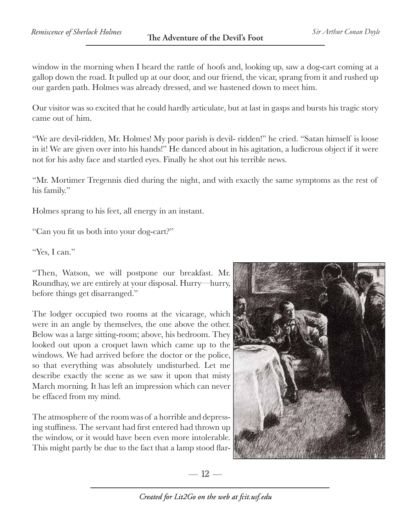window in the morning when I heard the rattle of hoofs and, looking up, saw a dog-cart coming at a gallop down the road. It pulled up at our door, and our friend, the vicar, sprang from it and rushed up our garden path. Holmes was already dressed, and we hastened down to meet him.

Our visitor was so excited that he could hardly articulate, but at last in gasps and bursts his tragic story came out of him.

"We are devil-ridden, Mr. Holmes! My poor parish is devil- ridden!" he cried. "Satan himself is loose in it! We are given over into his hands!" He danced about in his agitation, a ludicrous object if it were not for his ashy face and startled eyes. Finally he shot out his terrible news.

"Mr. Mortimer Tregennis died during the night, and with exactly the same symptoms as the rest of his family."

Holmes sprang to his feet, all energy in an instant.

"Can you fit us both into your dog-cart?"

"Yes, I can."

"Then, Watson, we will postpone our breakfast. Mr. Roundhay, we are entirely at your disposal. Hurry—hurry, before things get disarranged."

The lodger occupied two rooms at the vicarage, which were in an angle by themselves, the one above the other. Below was a large sitting-room; above, his bedroom. They looked out upon a croquet lawn which came up to the windows. We had arrived before the doctor or the police, so that everything was absolutely undisturbed. Let me describe exactly the scene as we saw it upon that misty March morning. It has left an impression which can never be effaced from my mind.

The atmosphere of the room was of a horrible and depressing stuffiness. The servant had first entered had thrown up the window, or it would have been even more intolerable. This might partly be due to the fact that a lamp stood flar-



 $-12-$ 

*Created for Lit2Go on the web at fcit.usf.edu*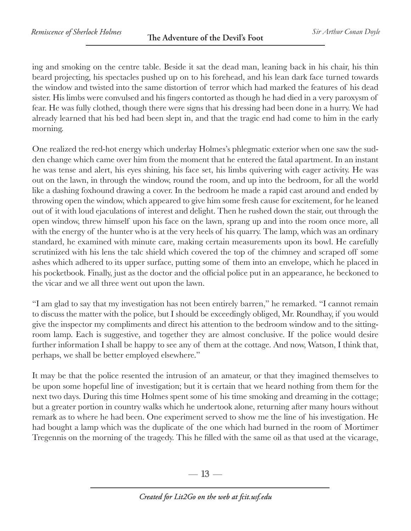ing and smoking on the centre table. Beside it sat the dead man, leaning back in his chair, his thin beard projecting, his spectacles pushed up on to his forehead, and his lean dark face turned towards the window and twisted into the same distortion of terror which had marked the features of his dead sister. His limbs were convulsed and his fingers contorted as though he had died in a very paroxysm of fear. He was fully clothed, though there were signs that his dressing had been done in a hurry. We had already learned that his bed had been slept in, and that the tragic end had come to him in the early morning.

One realized the red-hot energy which underlay Holmes's phlegmatic exterior when one saw the sudden change which came over him from the moment that he entered the fatal apartment. In an instant he was tense and alert, his eyes shining, his face set, his limbs quivering with eager activity. He was out on the lawn, in through the window, round the room, and up into the bedroom, for all the world like a dashing foxhound drawing a cover. In the bedroom he made a rapid cast around and ended by throwing open the window, which appeared to give him some fresh cause for excitement, for he leaned out of it with loud ejaculations of interest and delight. Then he rushed down the stair, out through the open window, threw himself upon his face on the lawn, sprang up and into the room once more, all with the energy of the hunter who is at the very heels of his quarry. The lamp, which was an ordinary standard, he examined with minute care, making certain measurements upon its bowl. He carefully scrutinized with his lens the talc shield which covered the top of the chimney and scraped off some ashes which adhered to its upper surface, putting some of them into an envelope, which he placed in his pocketbook. Finally, just as the doctor and the official police put in an appearance, he beckoned to the vicar and we all three went out upon the lawn.

"I am glad to say that my investigation has not been entirely barren," he remarked. "I cannot remain to discuss the matter with the police, but I should be exceedingly obliged, Mr. Roundhay, if you would give the inspector my compliments and direct his attention to the bedroom window and to the sittingroom lamp. Each is suggestive, and together they are almost conclusive. If the police would desire further information I shall be happy to see any of them at the cottage. And now, Watson, I think that, perhaps, we shall be better employed elsewhere."

It may be that the police resented the intrusion of an amateur, or that they imagined themselves to be upon some hopeful line of investigation; but it is certain that we heard nothing from them for the next two days. During this time Holmes spent some of his time smoking and dreaming in the cottage; but a greater portion in country walks which he undertook alone, returning after many hours without remark as to where he had been. One experiment served to show me the line of his investigation. He had bought a lamp which was the duplicate of the one which had burned in the room of Mortimer Tregennis on the morning of the tragedy. This he filled with the same oil as that used at the vicarage,

 $-13-$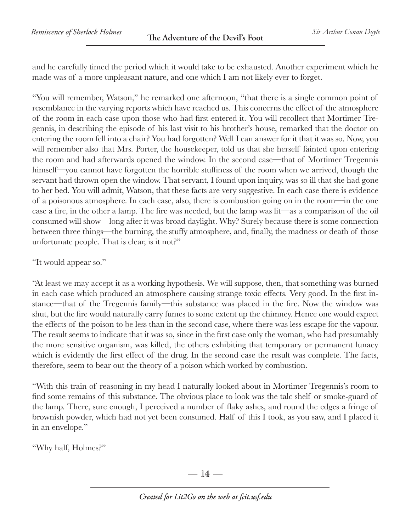and he carefully timed the period which it would take to be exhausted. Another experiment which he made was of a more unpleasant nature, and one which I am not likely ever to forget.

"You will remember, Watson," he remarked one afternoon, "that there is a single common point of resemblance in the varying reports which have reached us. This concerns the effect of the atmosphere of the room in each case upon those who had first entered it. You will recollect that Mortimer Tregennis, in describing the episode of his last visit to his brother's house, remarked that the doctor on entering the room fell into a chair? You had forgotten? Well I can answer for it that it was so. Now, you will remember also that Mrs. Porter, the housekeeper, told us that she herself fainted upon entering the room and had afterwards opened the window. In the second case—that of Mortimer Tregennis himself—you cannot have forgotten the horrible stuffiness of the room when we arrived, though the servant had thrown open the window. That servant, I found upon inquiry, was so ill that she had gone to her bed. You will admit, Watson, that these facts are very suggestive. In each case there is evidence of a poisonous atmosphere. In each case, also, there is combustion going on in the room—in the one case a fire, in the other a lamp. The fire was needed, but the lamp was lit—as a comparison of the oil consumed will show—long after it was broad daylight. Why? Surely because there is some connection between three things—the burning, the stuffy atmosphere, and, finally, the madness or death of those unfortunate people. That is clear, is it not?"

"It would appear so."

"At least we may accept it as a working hypothesis. We will suppose, then, that something was burned in each case which produced an atmosphere causing strange toxic effects. Very good. In the first instance—that of the Tregennis family—this substance was placed in the fire. Now the window was shut, but the fire would naturally carry fumes to some extent up the chimney. Hence one would expect the effects of the poison to be less than in the second case, where there was less escape for the vapour. The result seems to indicate that it was so, since in the first case only the woman, who had presumably the more sensitive organism, was killed, the others exhibiting that temporary or permanent lunacy which is evidently the first effect of the drug. In the second case the result was complete. The facts, therefore, seem to bear out the theory of a poison which worked by combustion.

"With this train of reasoning in my head I naturally looked about in Mortimer Tregennis's room to find some remains of this substance. The obvious place to look was the talc shelf or smoke-guard of the lamp. There, sure enough, I perceived a number of flaky ashes, and round the edges a fringe of brownish powder, which had not yet been consumed. Half of this I took, as you saw, and I placed it in an envelope."

"Why half, Holmes?"

—  $14-$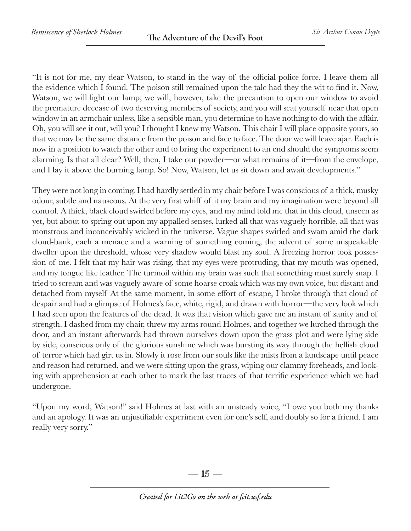"It is not for me, my dear Watson, to stand in the way of the official police force. I leave them all the evidence which I found. The poison still remained upon the talc had they the wit to find it. Now, Watson, we will light our lamp; we will, however, take the precaution to open our window to avoid the premature decease of two deserving members of society, and you will seat yourself near that open window in an armchair unless, like a sensible man, you determine to have nothing to do with the affair. Oh, you will see it out, will you? I thought I knew my Watson. This chair I will place opposite yours, so that we may be the same distance from the poison and face to face. The door we will leave ajar. Each is now in a position to watch the other and to bring the experiment to an end should the symptoms seem alarming. Is that all clear? Well, then, I take our powder—or what remains of it—from the envelope, and I lay it above the burning lamp. So! Now, Watson, let us sit down and await developments."

They were not long in coming. I had hardly settled in my chair before I was conscious of a thick, musky odour, subtle and nauseous. At the very first whiff of it my brain and my imagination were beyond all control. A thick, black cloud swirled before my eyes, and my mind told me that in this cloud, unseen as yet, but about to spring out upon my appalled senses, lurked all that was vaguely horrible, all that was monstrous and inconceivably wicked in the universe. Vague shapes swirled and swam amid the dark cloud-bank, each a menace and a warning of something coming, the advent of some unspeakable dweller upon the threshold, whose very shadow would blast my soul. A freezing horror took possession of me. I felt that my hair was rising, that my eyes were protruding, that my mouth was opened, and my tongue like leather. The turmoil within my brain was such that something must surely snap. I tried to scream and was vaguely aware of some hoarse croak which was my own voice, but distant and detached from myself At the same moment, in some effort of escape, I broke through that cloud of despair and had a glimpse of Holmes's face, white, rigid, and drawn with horror—the very look which I had seen upon the features of the dead. It was that vision which gave me an instant of sanity and of strength. I dashed from my chair, threw my arms round Holmes, and together we lurched through the door, and an instant afterwards had thrown ourselves down upon the grass plot and were lying side by side, conscious only of the glorious sunshine which was bursting its way through the hellish cloud of terror which had girt us in. Slowly it rose from our souls like the mists from a landscape until peace and reason had returned, and we were sitting upon the grass, wiping our clammy foreheads, and looking with apprehension at each other to mark the last traces of that terrific experience which we had undergone.

"Upon my word, Watson!" said Holmes at last with an unsteady voice, "I owe you both my thanks and an apology. It was an unjustifiable experiment even for one's self, and doubly so for a friend. I am really very sorry."

—  $15 -$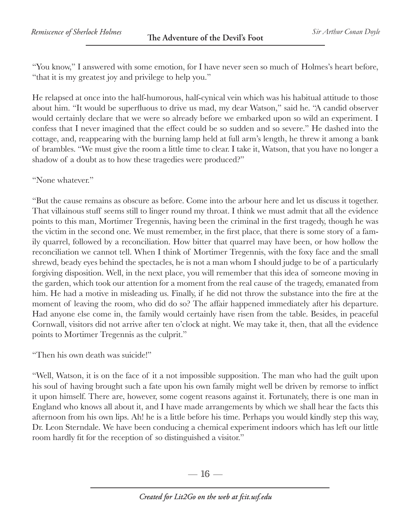"You know," I answered with some emotion, for I have never seen so much of Holmes's heart before, "that it is my greatest joy and privilege to help you."

He relapsed at once into the half-humorous, half-cynical vein which was his habitual attitude to those about him. "It would be superfluous to drive us mad, my dear Watson," said he. "A candid observer would certainly declare that we were so already before we embarked upon so wild an experiment. I confess that I never imagined that the effect could be so sudden and so severe." He dashed into the cottage, and, reappearing with the burning lamp held at full arm's length, he threw it among a bank of brambles. "We must give the room a little time to clear. I take it, Watson, that you have no longer a shadow of a doubt as to how these tragedies were produced?"

"None whatever."

"But the cause remains as obscure as before. Come into the arbour here and let us discuss it together. That villainous stuff seems still to linger round my throat. I think we must admit that all the evidence points to this man, Mortimer Tregennis, having been the criminal in the first tragedy, though he was the victim in the second one. We must remember, in the first place, that there is some story of a family quarrel, followed by a reconciliation. How bitter that quarrel may have been, or how hollow the reconciliation we cannot tell. When I think of Mortimer Tregennis, with the foxy face and the small shrewd, beady eyes behind the spectacles, he is not a man whom I should judge to be of a particularly forgiving disposition. Well, in the next place, you will remember that this idea of someone moving in the garden, which took our attention for a moment from the real cause of the tragedy, emanated from him. He had a motive in misleading us. Finally, if he did not throw the substance into the fire at the moment of leaving the room, who did do so? The affair happened immediately after his departure. Had anyone else come in, the family would certainly have risen from the table. Besides, in peaceful Cornwall, visitors did not arrive after ten o'clock at night. We may take it, then, that all the evidence points to Mortimer Tregennis as the culprit."

"Then his own death was suicide!"

"Well, Watson, it is on the face of it a not impossible supposition. The man who had the guilt upon his soul of having brought such a fate upon his own family might well be driven by remorse to inflict it upon himself. There are, however, some cogent reasons against it. Fortunately, there is one man in England who knows all about it, and I have made arrangements by which we shall hear the facts this afternoon from his own lips. Ah! he is a little before his time. Perhaps you would kindly step this way, Dr. Leon Sterndale. We have been conducing a chemical experiment indoors which has left our little room hardly fit for the reception of so distinguished a visitor."

 $-16-$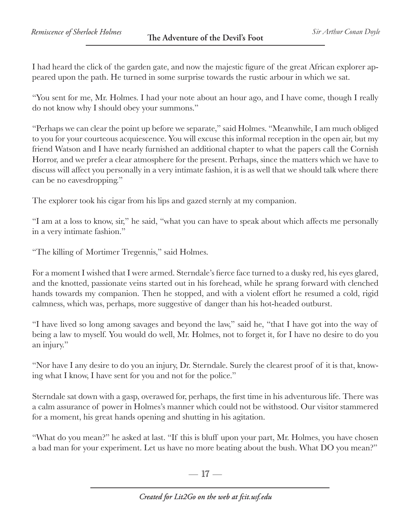I had heard the click of the garden gate, and now the majestic figure of the great African explorer appeared upon the path. He turned in some surprise towards the rustic arbour in which we sat.

"You sent for me, Mr. Holmes. I had your note about an hour ago, and I have come, though I really do not know why I should obey your summons."

"Perhaps we can clear the point up before we separate," said Holmes. "Meanwhile, I am much obliged to you for your courteous acquiescence. You will excuse this informal reception in the open air, but my friend Watson and I have nearly furnished an additional chapter to what the papers call the Cornish Horror, and we prefer a clear atmosphere for the present. Perhaps, since the matters which we have to discuss will affect you personally in a very intimate fashion, it is as well that we should talk where there can be no eavesdropping."

The explorer took his cigar from his lips and gazed sternly at my companion.

"I am at a loss to know, sir," he said, "what you can have to speak about which affects me personally in a very intimate fashion."

"The killing of Mortimer Tregennis," said Holmes.

For a moment I wished that I were armed. Sterndale's fierce face turned to a dusky red, his eyes glared, and the knotted, passionate veins started out in his forehead, while he sprang forward with clenched hands towards my companion. Then he stopped, and with a violent effort he resumed a cold, rigid calmness, which was, perhaps, more suggestive of danger than his hot-headed outburst.

"I have lived so long among savages and beyond the law," said he, "that I have got into the way of being a law to myself. You would do well, Mr. Holmes, not to forget it, for I have no desire to do you an injury."

"Nor have I any desire to do you an injury, Dr. Sterndale. Surely the clearest proof of it is that, knowing what I know, I have sent for you and not for the police."

Sterndale sat down with a gasp, overawed for, perhaps, the first time in his adventurous life. There was a calm assurance of power in Holmes's manner which could not be withstood. Our visitor stammered for a moment, his great hands opening and shutting in his agitation.

"What do you mean?" he asked at last. "If this is bluff upon your part, Mr. Holmes, you have chosen a bad man for your experiment. Let us have no more beating about the bush. What DO you mean?"

 $-17-$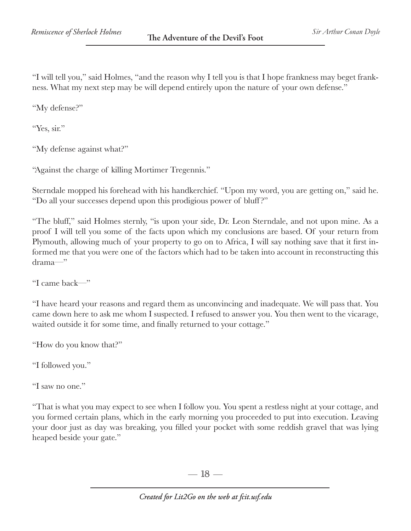"I will tell you," said Holmes, "and the reason why I tell you is that I hope frankness may beget frankness. What my next step may be will depend entirely upon the nature of your own defense."

"My defense?"

"Yes, sir."

"My defense against what?"

"Against the charge of killing Mortimer Tregennis."

Sterndale mopped his forehead with his handkerchief. "Upon my word, you are getting on," said he. "Do all your successes depend upon this prodigious power of bluff?"

"The bluff," said Holmes sternly, "is upon your side, Dr. Leon Sterndale, and not upon mine. As a proof I will tell you some of the facts upon which my conclusions are based. Of your return from Plymouth, allowing much of your property to go on to Africa, I will say nothing save that it first informed me that you were one of the factors which had to be taken into account in reconstructing this drama—"

"I came back—"

"I have heard your reasons and regard them as unconvincing and inadequate. We will pass that. You came down here to ask me whom I suspected. I refused to answer you. You then went to the vicarage, waited outside it for some time, and finally returned to your cottage."

"How do you know that?"

"I followed you."

"I saw no one."

"That is what you may expect to see when I follow you. You spent a restless night at your cottage, and you formed certain plans, which in the early morning you proceeded to put into execution. Leaving your door just as day was breaking, you filled your pocket with some reddish gravel that was lying heaped beside your gate."

 $-18-$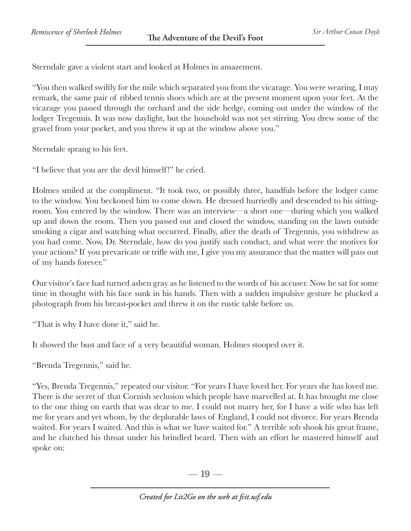Sterndale gave a violent start and looked at Holmes in amazement.

"You then walked swiftly for the mile which separated you from the vicarage. You were wearing, I may remark, the same pair of ribbed tennis shoes which are at the present moment upon your feet. At the vicarage you passed through the orchard and the side hedge, coming out under the window of the lodger Tregennis. It was now daylight, but the household was not yet stirring. You drew some of the gravel from your pocket, and you threw it up at the window above you."

Sterndale sprang to his feet.

"I believe that you are the devil himself!" he cried.

Holmes smiled at the compliment. "It took two, or possibly three, handfuls before the lodger came to the window. You beckoned him to come down. He dressed hurriedly and descended to his sittingroom. You entered by the window. There was an interview—a short one—during which you walked up and down the room. Then you passed out and closed the window, standing on the lawn outside smoking a cigar and watching what occurred. Finally, after the death of Tregennis, you withdrew as you had come. Now, Dr. Sterndale, how do you justify such conduct, and what were the motives for your actions? If you prevaricate or trifle with me, I give you my assurance that the matter will pass out of my hands forever."

Our visitor's face had turned ashen gray as he listened to the words of his accuser. Now he sat for some time in thought with his face sunk in his hands. Then with a sudden impulsive gesture he plucked a photograph from his breast-pocket and threw it on the rustic table before us.

"That is why I have done it," said he.

It showed the bust and face of a very beautiful woman. Holmes stooped over it.

"Brenda Tregennis," said he.

"Yes, Brenda Tregennis," repeated our visitor. "For years I have loved her. For years she has loved me. There is the secret of that Cornish seclusion which people have marvelled at. It has brought me close to the one thing on earth that was dear to me. I could not marry her, for I have a wife who has left me for years and yet whom, by the deplorable laws of England, I could not divorce. For years Brenda waited. For years I waited. And this is what we have waited for." A terrible sob shook his great frame, and he clutched his throat under his brindled beard. Then with an effort he mastered himself and spoke on:

— 19 —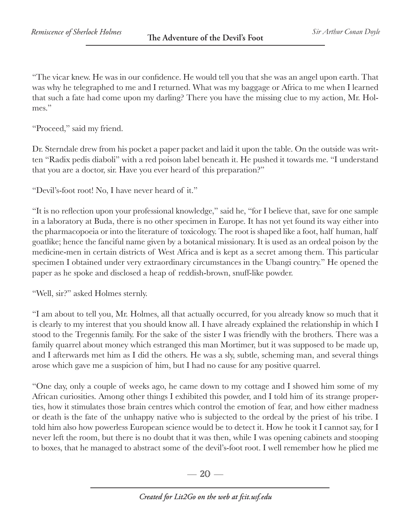"The vicar knew. He was in our confidence. He would tell you that she was an angel upon earth. That was why he telegraphed to me and I returned. What was my baggage or Africa to me when I learned that such a fate had come upon my darling? There you have the missing clue to my action, Mr. Holmes."

"Proceed," said my friend.

Dr. Sterndale drew from his pocket a paper packet and laid it upon the table. On the outside was written "Radix pedis diaboli" with a red poison label beneath it. He pushed it towards me. "I understand that you are a doctor, sir. Have you ever heard of this preparation?"

"Devil's-foot root! No, I have never heard of it."

"It is no reflection upon your professional knowledge," said he, "for I believe that, save for one sample in a laboratory at Buda, there is no other specimen in Europe. It has not yet found its way either into the pharmacopoeia or into the literature of toxicology. The root is shaped like a foot, half human, half goatlike; hence the fanciful name given by a botanical missionary. It is used as an ordeal poison by the medicine-men in certain districts of West Africa and is kept as a secret among them. This particular specimen I obtained under very extraordinary circumstances in the Ubangi country." He opened the paper as he spoke and disclosed a heap of reddish-brown, snuff-like powder.

"Well, sir?" asked Holmes sternly.

"I am about to tell you, Mr. Holmes, all that actually occurred, for you already know so much that it is clearly to my interest that you should know all. I have already explained the relationship in which I stood to the Tregennis family. For the sake of the sister I was friendly with the brothers. There was a family quarrel about money which estranged this man Mortimer, but it was supposed to be made up, and I afterwards met him as I did the others. He was a sly, subtle, scheming man, and several things arose which gave me a suspicion of him, but I had no cause for any positive quarrel.

"One day, only a couple of weeks ago, he came down to my cottage and I showed him some of my African curiosities. Among other things I exhibited this powder, and I told him of its strange properties, how it stimulates those brain centres which control the emotion of fear, and how either madness or death is the fate of the unhappy native who is subjected to the ordeal by the priest of his tribe. I told him also how powerless European science would be to detect it. How he took it I cannot say, for I never left the room, but there is no doubt that it was then, while I was opening cabinets and stooping to boxes, that he managed to abstract some of the devil's-foot root. I well remember how he plied me

 $-20-$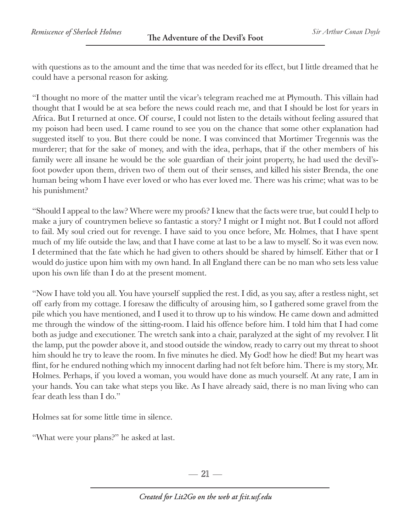with questions as to the amount and the time that was needed for its effect, but I little dreamed that he could have a personal reason for asking.

"I thought no more of the matter until the vicar's telegram reached me at Plymouth. This villain had thought that I would be at sea before the news could reach me, and that I should be lost for years in Africa. But I returned at once. Of course, I could not listen to the details without feeling assured that my poison had been used. I came round to see you on the chance that some other explanation had suggested itself to you. But there could be none. I was convinced that Mortimer Tregennis was the murderer; that for the sake of money, and with the idea, perhaps, that if the other members of his family were all insane he would be the sole guardian of their joint property, he had used the devil'sfoot powder upon them, driven two of them out of their senses, and killed his sister Brenda, the one human being whom I have ever loved or who has ever loved me. There was his crime; what was to be his punishment?

"Should I appeal to the law? Where were my proofs? I knew that the facts were true, but could I help to make a jury of countrymen believe so fantastic a story? I might or I might not. But I could not afford to fail. My soul cried out for revenge. I have said to you once before, Mr. Holmes, that I have spent much of my life outside the law, and that I have come at last to be a law to myself. So it was even now. I determined that the fate which he had given to others should be shared by himself. Either that or I would do justice upon him with my own hand. In all England there can be no man who sets less value upon his own life than I do at the present moment.

"Now I have told you all. You have yourself supplied the rest. I did, as you say, after a restless night, set off early from my cottage. I foresaw the difficulty of arousing him, so I gathered some gravel from the pile which you have mentioned, and I used it to throw up to his window. He came down and admitted me through the window of the sitting-room. I laid his offence before him. I told him that I had come both as judge and executioner. The wretch sank into a chair, paralyzed at the sight of my revolver. I lit the lamp, put the powder above it, and stood outside the window, ready to carry out my threat to shoot him should he try to leave the room. In five minutes he died. My God! how he died! But my heart was flint, for he endured nothing which my innocent darling had not felt before him. There is my story, Mr. Holmes. Perhaps, if you loved a woman, you would have done as much yourself. At any rate, I am in your hands. You can take what steps you like. As I have already said, there is no man living who can fear death less than I do."

Holmes sat for some little time in silence.

"What were your plans?" he asked at last.

 $-21-$